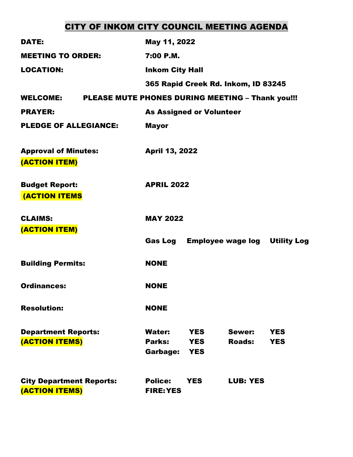# CITY OF INKOM CITY COUNCIL MEETING AGENDA

| <b>DATE:</b>                                      | May 11, 2022                                                                                             |                          |
|---------------------------------------------------|----------------------------------------------------------------------------------------------------------|--------------------------|
| <b>MEETING TO ORDER:</b>                          | 7:00 P.M.                                                                                                |                          |
| <b>LOCATION:</b>                                  | <b>Inkom City Hall</b>                                                                                   |                          |
|                                                   | 365 Rapid Creek Rd. Inkom, ID 83245                                                                      |                          |
| <b>WELCOME:</b>                                   | PLEASE MUTE PHONES DURING MEETING - Thank you!!!                                                         |                          |
| <b>PRAYER:</b>                                    | <b>As Assigned or Volunteer</b>                                                                          |                          |
| <b>PLEDGE OF ALLEGIANCE:</b>                      | <b>Mayor</b>                                                                                             |                          |
| <b>Approval of Minutes:</b><br>(ACTION ITEM)      | <b>April 13, 2022</b>                                                                                    |                          |
| <b>Budget Report:</b><br><b>(ACTION ITEMS</b>     | <b>APRIL 2022</b>                                                                                        |                          |
| <b>CLAIMS:</b><br>(ACTION ITEM)                   | <b>MAY 2022</b>                                                                                          |                          |
|                                                   | Gas Log<br><b>Employee wage log Utility Log</b>                                                          |                          |
| <b>Building Permits:</b>                          | <b>NONE</b>                                                                                              |                          |
| <b>Ordinances:</b>                                | <b>NONE</b>                                                                                              |                          |
| <b>Resolution:</b>                                | <b>NONE</b>                                                                                              |                          |
| <b>Department Reports:</b><br>(ACTION ITEMS)      | <b>Water:</b><br>Sewer:<br><b>YES</b><br>Parks:<br><b>Roads:</b><br><b>YES</b><br>Garbage:<br><b>YES</b> | <b>YES</b><br><b>YES</b> |
| <b>City Department Reports:</b><br>(ACTION ITEMS) | <b>Police:</b><br><b>YES</b><br><b>LUB: YES</b><br><b>FIRE: YES</b>                                      |                          |